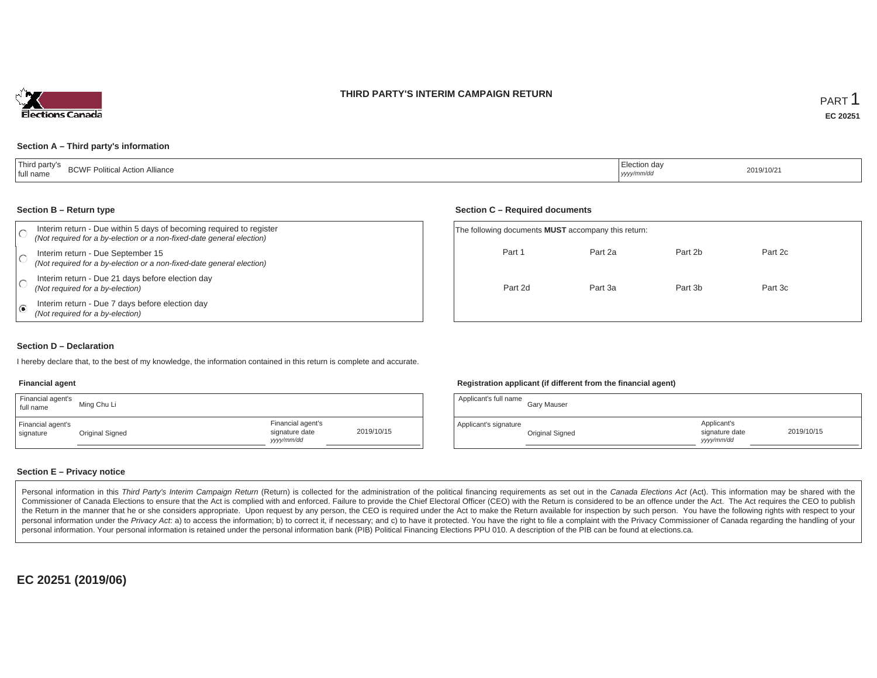### **THIRD PARTY'S INTERIM CAMPAIGN RETURN**



### **Section A – Third party's information**

| 'Third party's<br>$\cdots$<br><b>DOME</b><br>I Action Alliance<br>.- Politica'<br><b>BUWF</b><br>' full name | lection dav<br>yyyy/mm/dd | 2019/10/2 |
|--------------------------------------------------------------------------------------------------------------|---------------------------|-----------|
|--------------------------------------------------------------------------------------------------------------|---------------------------|-----------|

#### **Section B – Return type**

|                    | Interim return - Due within 5 days of becoming required to register<br>(Not required for a by-election or a non-fixed-date general election) | The following documents <b>MUST</b> accompany this return: |         |         |         |  |
|--------------------|----------------------------------------------------------------------------------------------------------------------------------------------|------------------------------------------------------------|---------|---------|---------|--|
|                    | Interim return - Due September 15<br>(Not required for a by-election or a non-fixed-date general election)                                   | Part 1                                                     | Part 2a | Part 2b | Part 2c |  |
|                    | Interim return - Due 21 days before election day<br>(Not required for a by-election)                                                         | Part 2d                                                    | Part 3a | Part 3b | Part 3c |  |
| $\overline{1}$ (e) | Interim return - Due 7 days before election day<br>(Not required for a by-election)                                                          |                                                            |         |         |         |  |

### **Section D – Declaration**

I hereby declare that, to the best of my knowledge, the information contained in this return is complete and accurate.

#### **Financial agent**

| Financial agent's<br>full name | Ming Chu Li     |                                                  |            |
|--------------------------------|-----------------|--------------------------------------------------|------------|
| Financial agent's<br>signature | Original Signed | Financial agent's<br>signature date<br>vyy/mm/dd | 2019/10/15 |

### **Registration applicant (if different from the financial agent)**

| Applicant's full name | Gary Mauser     |                                             |            |
|-----------------------|-----------------|---------------------------------------------|------------|
| Applicant's signature | Original Signed | Applicant's<br>signature date<br>yyyy/mm/dd | 2019/10/15 |

### **Section E – Privacy notice**

Personal information in this Third Party's Interim Campaign Return (Return) is collected for the administration of the political financing requirements as set out in the Canada Elections Act (Act). This information may be Commissioner of Canada Elections to ensure that the Act is complied with and enforced. Failure to provide the Chief Electoral Officer (CEO) with the Return is considered to be an offence under the Act. The Act requires the the Return in the manner that he or she considers appropriate. Upon request by any person, the CEO is required under the Act to make the Return available for inspection by such person. You have the following rights with re personal information under the Privacy Act. a) to access the information; b) to correct it, if necessary; and c) to have it protected. You have the right to file a complaint with the Privacy Commissioner of Canada regardin personal information. Your personal information is retained under the personal information bank (PIB) Political Financing Elections PPU 010. A description of the PIB can be found at elections.ca.

**EC 20251 (2019/06)**

#### **Section C – Required documents**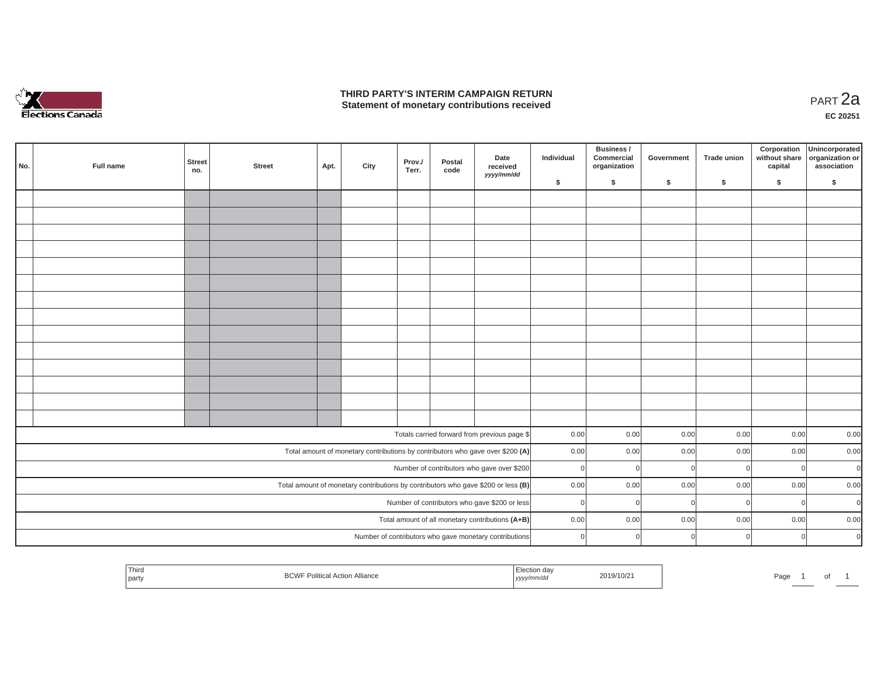

## **THIRD PARTY'S INTERIM CAMPAIGN RETURN THIRD PARTY'S INTERIM CAMPAIGN RETURN<br>Statement of monetary contributions received**

**EC 20251**

| No. | Full name                                        | <b>Street</b><br>no.                                                                | <b>Street</b> | Apt. | City | Prov./<br>Terr. | Postal<br>code | Date<br>received<br>yyyy/mm/dd                                                 | Individual | Business /<br>Commercial<br>organization | Government | <b>Trade union</b> | Corporation<br>without share<br>capital | Unincorporated<br>organization or<br>association |
|-----|--------------------------------------------------|-------------------------------------------------------------------------------------|---------------|------|------|-----------------|----------------|--------------------------------------------------------------------------------|------------|------------------------------------------|------------|--------------------|-----------------------------------------|--------------------------------------------------|
|     |                                                  |                                                                                     |               |      |      |                 |                |                                                                                | \$         | \$                                       | \$         | -S                 | \$                                      | S.                                               |
|     |                                                  |                                                                                     |               |      |      |                 |                |                                                                                |            |                                          |            |                    |                                         |                                                  |
|     |                                                  |                                                                                     |               |      |      |                 |                |                                                                                |            |                                          |            |                    |                                         |                                                  |
|     |                                                  |                                                                                     |               |      |      |                 |                |                                                                                |            |                                          |            |                    |                                         |                                                  |
|     |                                                  |                                                                                     |               |      |      |                 |                |                                                                                |            |                                          |            |                    |                                         |                                                  |
|     |                                                  |                                                                                     |               |      |      |                 |                |                                                                                |            |                                          |            |                    |                                         |                                                  |
|     |                                                  |                                                                                     |               |      |      |                 |                |                                                                                |            |                                          |            |                    |                                         |                                                  |
|     |                                                  |                                                                                     |               |      |      |                 |                |                                                                                |            |                                          |            |                    |                                         |                                                  |
|     |                                                  |                                                                                     |               |      |      |                 |                |                                                                                |            |                                          |            |                    |                                         |                                                  |
|     |                                                  |                                                                                     |               |      |      |                 |                |                                                                                |            |                                          |            |                    |                                         |                                                  |
|     |                                                  |                                                                                     |               |      |      |                 |                |                                                                                |            |                                          |            |                    |                                         |                                                  |
|     |                                                  |                                                                                     |               |      |      |                 |                |                                                                                |            |                                          |            |                    |                                         |                                                  |
|     |                                                  |                                                                                     |               |      |      |                 |                |                                                                                |            |                                          |            |                    |                                         |                                                  |
|     |                                                  |                                                                                     |               |      |      |                 |                |                                                                                |            |                                          |            |                    |                                         |                                                  |
|     |                                                  |                                                                                     |               |      |      |                 |                |                                                                                |            |                                          |            |                    |                                         |                                                  |
|     |                                                  |                                                                                     |               |      |      |                 |                | Totals carried forward from previous page \$                                   | 0.00       | 0.00                                     | 0.00       | 0.00               | 0.00                                    | 0.00                                             |
|     |                                                  |                                                                                     |               |      |      |                 |                | Total amount of monetary contributions by contributors who gave over \$200 (A) | 0.00       | 0.00                                     | 0.00       | 0.00               | 0.00                                    | 0.00                                             |
|     |                                                  |                                                                                     |               |      |      |                 |                | Number of contributors who gave over \$200                                     | $\Omega$   | -ol                                      |            | $\Omega$           |                                         | $\overline{0}$<br>$\mathbf 0$                    |
|     |                                                  | Total amount of monetary contributions by contributors who gave \$200 or less $(B)$ |               |      |      |                 |                |                                                                                | 0.00       | 0.00                                     | 0.00       | 0.00               | 0.00                                    | 0.00                                             |
|     |                                                  |                                                                                     |               |      |      |                 |                | Number of contributors who gave \$200 or less                                  | $\Omega$   | - Ol                                     |            | $\Omega$           |                                         | $\overline{0}$<br>$\mathbf 0$                    |
|     | Total amount of all monetary contributions (A+B) |                                                                                     |               |      |      |                 |                |                                                                                | 0.00       | 0.00                                     | 0.00       | 0.00               | 0.00                                    | 0.00                                             |
|     |                                                  |                                                                                     |               |      |      |                 |                | Number of contributors who gave monetary contributions                         | $\Omega$   | $\Omega$                                 |            | $\cap$             |                                         | $\overline{0}$<br>$\mathbf 0$                    |

| i nirc<br>2019/10/2<br>н.<br>ʻau<br>-<br>party<br>,,,,, |  | ັບເ |  |  |
|---------------------------------------------------------|--|-----|--|--|
|---------------------------------------------------------|--|-----|--|--|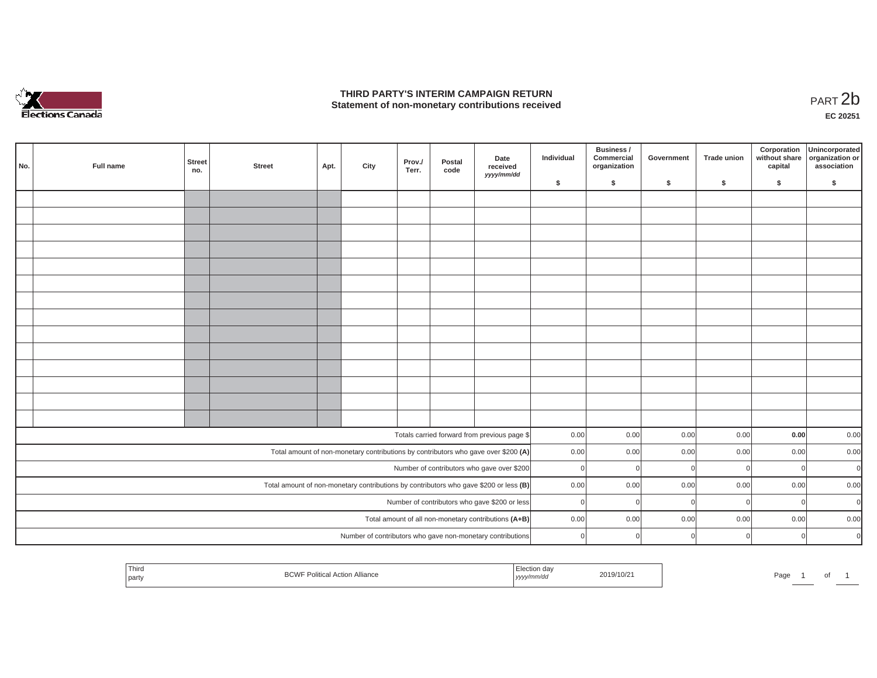

## **THIRD PARTY'S INTERIM CAMPAIGN RETURN**  THIRD PARTY'S INTERIM CAMPAIGN RETURN<br>Statement of non-monetary contributions received<br>**PART 2**b

**EC 20251**

 $\overline{\phantom{a}}$ 

| No. | Full name                                                                                                          | <b>Street</b><br>no. | <b>Street</b> | Apt. | City | Prov./<br>Terr. | Postal<br>code | Date<br>received<br>yyyy/mm/dd                                                     | Individual | Business /<br>Commercial<br>organization | Government | <b>Trade union</b> | Corporation<br>without share<br>capital | Unincorporated<br>organization or<br>association |
|-----|--------------------------------------------------------------------------------------------------------------------|----------------------|---------------|------|------|-----------------|----------------|------------------------------------------------------------------------------------|------------|------------------------------------------|------------|--------------------|-----------------------------------------|--------------------------------------------------|
|     |                                                                                                                    |                      |               |      |      |                 |                |                                                                                    | \$         | \$                                       | \$         | \$                 | \$                                      | \$                                               |
|     |                                                                                                                    |                      |               |      |      |                 |                |                                                                                    |            |                                          |            |                    |                                         |                                                  |
|     |                                                                                                                    |                      |               |      |      |                 |                |                                                                                    |            |                                          |            |                    |                                         |                                                  |
|     |                                                                                                                    |                      |               |      |      |                 |                |                                                                                    |            |                                          |            |                    |                                         |                                                  |
|     |                                                                                                                    |                      |               |      |      |                 |                |                                                                                    |            |                                          |            |                    |                                         |                                                  |
|     |                                                                                                                    |                      |               |      |      |                 |                |                                                                                    |            |                                          |            |                    |                                         |                                                  |
|     |                                                                                                                    |                      |               |      |      |                 |                |                                                                                    |            |                                          |            |                    |                                         |                                                  |
|     |                                                                                                                    |                      |               |      |      |                 |                |                                                                                    |            |                                          |            |                    |                                         |                                                  |
|     |                                                                                                                    |                      |               |      |      |                 |                |                                                                                    |            |                                          |            |                    |                                         |                                                  |
|     |                                                                                                                    |                      |               |      |      |                 |                |                                                                                    |            |                                          |            |                    |                                         |                                                  |
|     |                                                                                                                    |                      |               |      |      |                 |                |                                                                                    |            |                                          |            |                    |                                         |                                                  |
|     |                                                                                                                    |                      |               |      |      |                 |                |                                                                                    |            |                                          |            |                    |                                         |                                                  |
|     |                                                                                                                    |                      |               |      |      |                 |                |                                                                                    |            |                                          |            |                    |                                         |                                                  |
|     |                                                                                                                    |                      |               |      |      |                 |                |                                                                                    |            |                                          |            |                    |                                         |                                                  |
|     |                                                                                                                    |                      |               |      |      |                 |                |                                                                                    |            |                                          |            |                    |                                         |                                                  |
|     |                                                                                                                    |                      |               |      |      |                 |                | Totals carried forward from previous page \$                                       | 0.00       | 0.00                                     | 0.00       | 0.00               | 0.00                                    | 0.00                                             |
|     |                                                                                                                    |                      |               |      |      |                 |                | Total amount of non-monetary contributions by contributors who gave over \$200 (A) | 0.00       | 0.00                                     | 0.00       | 0.00               | 0.00                                    | 0.00                                             |
|     |                                                                                                                    |                      |               |      |      |                 |                | Number of contributors who gave over \$200                                         | $\Omega$   | $\Omega$                                 | $\Omega$   | $\Omega$           | $\mathbf 0$                             | $\mathbf 0$                                      |
|     | Total amount of non-monetary contributions by contributors who gave \$200 or less (B)                              |                      |               |      |      |                 |                |                                                                                    | 0.00       | 0.00                                     | 0.00       | 0.00               | 0.00                                    | 0.00                                             |
|     |                                                                                                                    |                      |               |      |      |                 |                | Number of contributors who gave \$200 or less                                      | $\Omega$   | $\Omega$                                 |            | $\Omega$           | $\overline{0}$                          | $\Omega$                                         |
|     |                                                                                                                    |                      |               |      |      |                 |                |                                                                                    | 0.00       | 0.00                                     | 0.00       | 0.00               | 0.00                                    | 0.00                                             |
|     | Total amount of all non-monetary contributions (A+B)<br>Number of contributors who gave non-monetary contributions |                      |               |      |      |                 |                |                                                                                    | $\Omega$   |                                          |            |                    |                                         | $\Omega$                                         |
|     |                                                                                                                    |                      |               |      |      |                 |                |                                                                                    |            |                                          |            |                    | $\Omega$                                |                                                  |

|  | <b>Contract Contract Contract Contract</b><br>Third<br>party | DUV | *ion da⊾<br>, уууулттис | 10/10/21 | Page |  |  |  |  |
|--|--------------------------------------------------------------|-----|-------------------------|----------|------|--|--|--|--|
|--|--------------------------------------------------------------|-----|-------------------------|----------|------|--|--|--|--|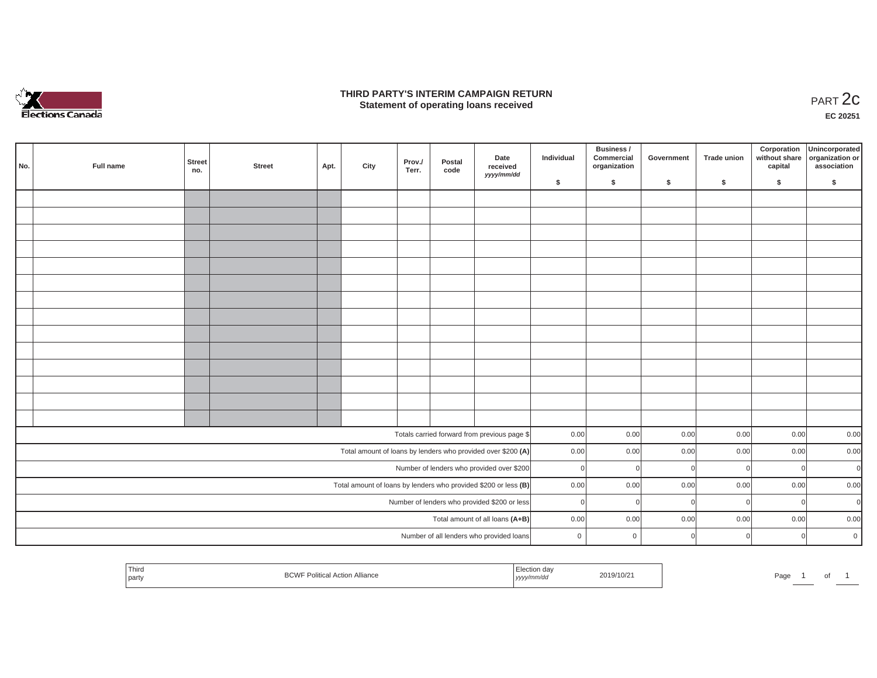

### **THIRD PARTY'S INTERIM CAMPAIGN RETURN**  RD PARTY'S INTERIM CAMPAIGN RETURN<br>Statement of operating loans received **PART 2c**

**EC 20251**

u.

| No. | Full name                                    | Street<br>no. | <b>Street</b> | Apt. | City | Prov./<br>Terr. | Postal<br>code | Date<br>received<br>yyyy/mm/dd                                  | Individual  | Business /<br>Commercial<br>organization | Government | Trade union | Corporation<br>without share<br>capital | Unincorporated<br>organization or<br>association |
|-----|----------------------------------------------|---------------|---------------|------|------|-----------------|----------------|-----------------------------------------------------------------|-------------|------------------------------------------|------------|-------------|-----------------------------------------|--------------------------------------------------|
|     |                                              |               |               |      |      |                 |                |                                                                 | \$          | $\mathsf{s}$                             | \$         | \$          | \$                                      | \$                                               |
|     |                                              |               |               |      |      |                 |                |                                                                 |             |                                          |            |             |                                         |                                                  |
|     |                                              |               |               |      |      |                 |                |                                                                 |             |                                          |            |             |                                         |                                                  |
|     |                                              |               |               |      |      |                 |                |                                                                 |             |                                          |            |             |                                         |                                                  |
|     |                                              |               |               |      |      |                 |                |                                                                 |             |                                          |            |             |                                         |                                                  |
|     |                                              |               |               |      |      |                 |                |                                                                 |             |                                          |            |             |                                         |                                                  |
|     |                                              |               |               |      |      |                 |                |                                                                 |             |                                          |            |             |                                         |                                                  |
|     |                                              |               |               |      |      |                 |                |                                                                 |             |                                          |            |             |                                         |                                                  |
|     |                                              |               |               |      |      |                 |                |                                                                 |             |                                          |            |             |                                         |                                                  |
|     |                                              |               |               |      |      |                 |                |                                                                 |             |                                          |            |             |                                         |                                                  |
|     |                                              |               |               |      |      |                 |                |                                                                 |             |                                          |            |             |                                         |                                                  |
|     |                                              |               |               |      |      |                 |                |                                                                 |             |                                          |            |             |                                         |                                                  |
|     |                                              |               |               |      |      |                 |                |                                                                 |             |                                          |            |             |                                         |                                                  |
|     |                                              |               |               |      |      |                 |                |                                                                 |             |                                          |            |             |                                         |                                                  |
|     |                                              |               |               |      |      |                 |                |                                                                 |             |                                          |            |             |                                         |                                                  |
|     |                                              |               |               |      |      |                 |                | Totals carried forward from previous page \$                    | 0.00        | 0.00                                     | 0.00       | 0.00        | 0.00                                    | 0.00                                             |
|     |                                              |               |               |      |      |                 |                | Total amount of loans by lenders who provided over \$200 (A)    | 0.00        | 0.00                                     | 0.00       | 0.00        | 0.00                                    | 0.00                                             |
|     |                                              |               |               |      |      |                 |                | Number of lenders who provided over \$200                       | $\Omega$    | $\Omega$                                 |            | $\Omega$    |                                         | $\overline{0}$<br>$\mathbf 0$                    |
|     |                                              |               |               |      |      |                 |                | Total amount of loans by lenders who provided \$200 or less (B) | 0.00        | 0.00                                     | 0.00       | 0.00        | 0.00                                    | 0.00                                             |
|     | Number of lenders who provided \$200 or less |               |               |      |      |                 |                | $\Omega$                                                        | $\Omega$    | $\Omega$                                 | $\Omega$   |             | $\overline{0}$<br>$\mathbf 0$           |                                                  |
|     | Total amount of all loans (A+B)              |               |               |      |      |                 |                |                                                                 | 0.00        | 0.00                                     | 0.00       | 0.00        | 0.00                                    | 0.00                                             |
|     |                                              |               |               |      |      |                 |                | Number of all lenders who provided loans                        | $\mathbf 0$ | $\mathbf 0$                              |            | $\cap$      | $\Omega$                                | $\overline{0}$                                   |
|     |                                              |               |               |      |      |                 |                |                                                                 |             |                                          |            |             |                                         |                                                  |

| ' Thirc<br>party | $D^{\prime}$<br>al Action Alliance "*ical Action"<br><b>DUVI</b> | ه ده نام ها<br>ua<br>yyyy/mm/dd | 2019/10/21 | Page | ັ |  |
|------------------|------------------------------------------------------------------|---------------------------------|------------|------|---|--|
|                  |                                                                  |                                 |            |      |   |  |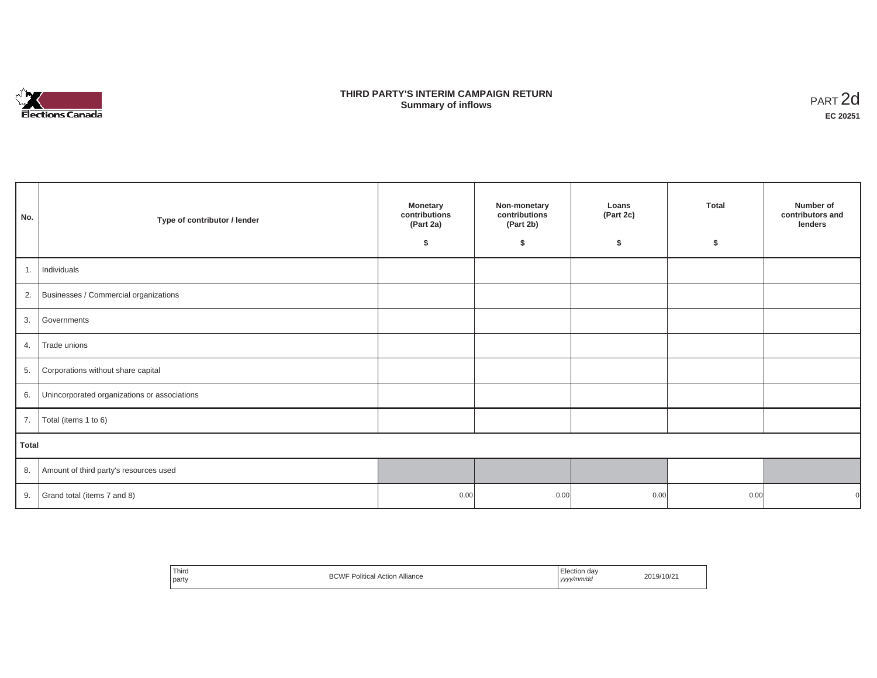

## **THIRD PARTY'S INTERIM CAMPAIGN RETURN SUMMARY STATE SUMMARY OF A SUMMARY OF A SUMMARY OF A SUMMARY OF A SUMMARY OF A SUMMARY OF A SUMMARY OF A SUMMA**<br> **Summary of inflows**

| No.          | Type of contributor / lender                    | <b>Monetary</b><br>contributions<br>(Part 2a)<br>\$ | Non-monetary<br>contributions<br>(Part 2b)<br>\$ | Loans<br>(Part 2c)<br>\$ | <b>Total</b><br>\$ | Number of<br>contributors and<br>lenders |
|--------------|-------------------------------------------------|-----------------------------------------------------|--------------------------------------------------|--------------------------|--------------------|------------------------------------------|
| 1.           | Individuals                                     |                                                     |                                                  |                          |                    |                                          |
|              | 2. Businesses / Commercial organizations        |                                                     |                                                  |                          |                    |                                          |
|              | 3. Governments                                  |                                                     |                                                  |                          |                    |                                          |
| 4.           | Trade unions                                    |                                                     |                                                  |                          |                    |                                          |
| 5.           | Corporations without share capital              |                                                     |                                                  |                          |                    |                                          |
|              | 6. Unincorporated organizations or associations |                                                     |                                                  |                          |                    |                                          |
| 7.           | Total (items 1 to 6)                            |                                                     |                                                  |                          |                    |                                          |
| <b>Total</b> |                                                 |                                                     |                                                  |                          |                    |                                          |
|              | 8. Amount of third party's resources used       |                                                     |                                                  |                          |                    |                                          |
|              | 9. Grand total (items $7$ and $8$ )             | 0.00                                                | 0.00                                             | 0.00                     | 0.00               |                                          |

| Third<br>the contract of the contract of<br>party | <br><b>BCW</b><br>۱۸/⊑<br>Political<br>Action<br>Alliance | ⊟ection dav<br>yyyy/mm/dd<br>. | 2019/10/21 |
|---------------------------------------------------|-----------------------------------------------------------|--------------------------------|------------|
|---------------------------------------------------|-----------------------------------------------------------|--------------------------------|------------|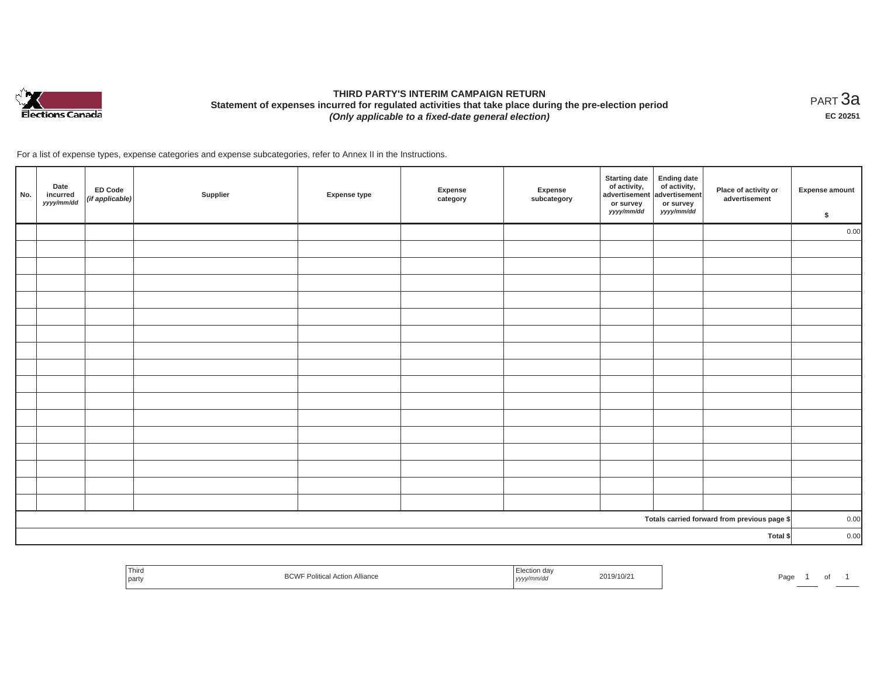

# **THIRD PARTY'S INTERIM CAMPAIGN RETURN Statement of expenses incurred for regulated activities that take place during the pre-election period**  *(Only applicable to a fixed-date general election)*

<code>PART $3$ a</code> **EC 20251**

For a list of expense types, expense categories and expense subcategories, refer to Annex II in the Instructions.

| No. | Date<br>incurred<br>yyyy/mm/dd | <b>ED Code</b><br>$($ if applicable $)$ | Supplier | <b>Expense type</b> | Expense<br>category | Expense<br>subcategory | <b>Starting date</b><br>of activity,<br>advertisement<br>or survey<br>yyyy/mm/dd | <b>Ending date</b><br>$\begin{array}{c} \text{ of activity,} \\ \text{advertisement} \end{array}$<br>or survey<br>yyyy/mm/dd | Place of activity or<br>advertisement        | <b>Expense amount</b><br>\$ |
|-----|--------------------------------|-----------------------------------------|----------|---------------------|---------------------|------------------------|----------------------------------------------------------------------------------|------------------------------------------------------------------------------------------------------------------------------|----------------------------------------------|-----------------------------|
|     |                                |                                         |          |                     |                     |                        |                                                                                  |                                                                                                                              |                                              | 0.00                        |
|     |                                |                                         |          |                     |                     |                        |                                                                                  |                                                                                                                              |                                              |                             |
|     |                                |                                         |          |                     |                     |                        |                                                                                  |                                                                                                                              |                                              |                             |
|     |                                |                                         |          |                     |                     |                        |                                                                                  |                                                                                                                              |                                              |                             |
|     |                                |                                         |          |                     |                     |                        |                                                                                  |                                                                                                                              |                                              |                             |
|     |                                |                                         |          |                     |                     |                        |                                                                                  |                                                                                                                              |                                              |                             |
|     |                                |                                         |          |                     |                     |                        |                                                                                  |                                                                                                                              |                                              |                             |
|     |                                |                                         |          |                     |                     |                        |                                                                                  |                                                                                                                              |                                              |                             |
|     |                                |                                         |          |                     |                     |                        |                                                                                  |                                                                                                                              |                                              |                             |
|     |                                |                                         |          |                     |                     |                        |                                                                                  |                                                                                                                              |                                              |                             |
|     |                                |                                         |          |                     |                     |                        |                                                                                  |                                                                                                                              |                                              |                             |
|     |                                |                                         |          |                     |                     |                        |                                                                                  |                                                                                                                              |                                              |                             |
|     |                                |                                         |          |                     |                     |                        |                                                                                  |                                                                                                                              |                                              |                             |
|     |                                |                                         |          |                     |                     |                        |                                                                                  |                                                                                                                              |                                              |                             |
|     |                                |                                         |          |                     |                     |                        |                                                                                  |                                                                                                                              |                                              |                             |
|     |                                |                                         |          |                     |                     |                        |                                                                                  |                                                                                                                              |                                              |                             |
|     |                                |                                         |          |                     |                     |                        |                                                                                  |                                                                                                                              |                                              |                             |
|     |                                |                                         |          |                     |                     |                        |                                                                                  |                                                                                                                              | Totals carried forward from previous page \$ | 0.00                        |
|     |                                |                                         |          |                     |                     |                        |                                                                                  |                                                                                                                              | Total \$                                     | 0.00                        |

| Thira<br>party | DOMI<br>F Political Action Alliance<br>BUW | <sup>1</sup> Election day<br>2019/10/21<br>yyyy/mm/dd | Page<br>$-1$<br>υı |
|----------------|--------------------------------------------|-------------------------------------------------------|--------------------|
|----------------|--------------------------------------------|-------------------------------------------------------|--------------------|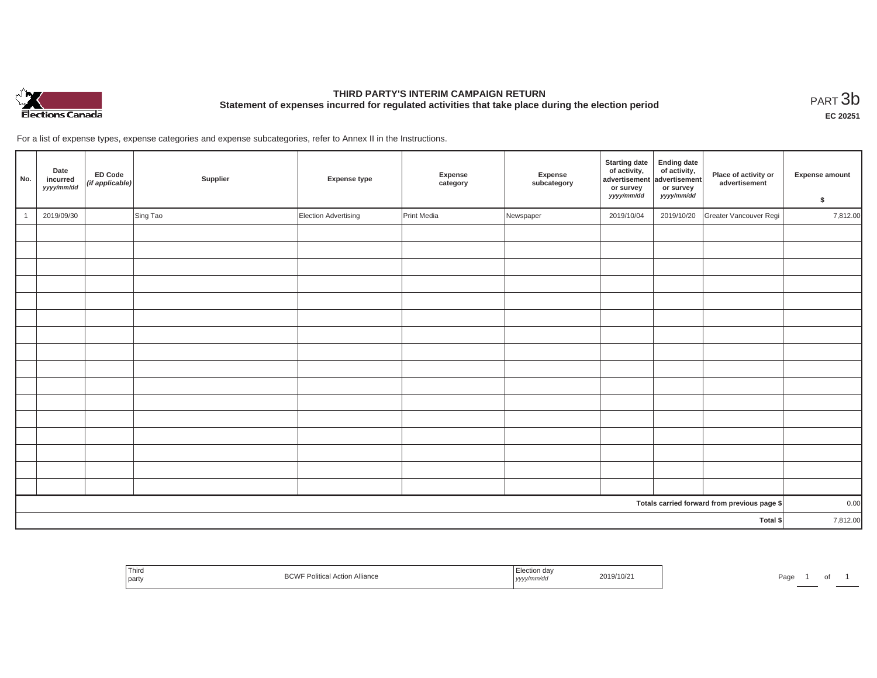

# **THIRD PARTY'S INTERIM CAMPAIGN RETURN Statement of expenses incurred for regulated activities that take place during the election period**<br>РАRТ  $3\mathrm{b}$

**EC 20251**

For a list of expense types, expense categories and expense subcategories, refer to Annex II in the Instructions.

| No.      | Date<br>incurred<br>yyyy/mm/dd | ED Code<br>(if applicable) | Supplier | <b>Expense type</b>  | Expense<br>category | Expense<br>subcategory | <b>Starting date</b><br>of activity,<br>advertisement<br>or survey<br>yyyy/mm/dd | <b>Ending date</b><br>$\frac{1}{2}$ of activity,<br>or survey<br>yyyy/mm/dd | Place of activity or<br>advertisement        | Expense amount<br>\$ |
|----------|--------------------------------|----------------------------|----------|----------------------|---------------------|------------------------|----------------------------------------------------------------------------------|-----------------------------------------------------------------------------|----------------------------------------------|----------------------|
|          | 2019/09/30                     |                            | Sing Tao | Election Advertising | Print Media         | Newspaper              | 2019/10/04                                                                       | 2019/10/20                                                                  | Greater Vancouver Regi                       | 7,812.00             |
|          |                                |                            |          |                      |                     |                        |                                                                                  |                                                                             |                                              |                      |
|          |                                |                            |          |                      |                     |                        |                                                                                  |                                                                             |                                              |                      |
|          |                                |                            |          |                      |                     |                        |                                                                                  |                                                                             |                                              |                      |
|          |                                |                            |          |                      |                     |                        |                                                                                  |                                                                             |                                              |                      |
|          |                                |                            |          |                      |                     |                        |                                                                                  |                                                                             |                                              |                      |
|          |                                |                            |          |                      |                     |                        |                                                                                  |                                                                             |                                              |                      |
|          |                                |                            |          |                      |                     |                        |                                                                                  |                                                                             |                                              |                      |
|          |                                |                            |          |                      |                     |                        |                                                                                  |                                                                             |                                              |                      |
|          |                                |                            |          |                      |                     |                        |                                                                                  |                                                                             |                                              |                      |
|          |                                |                            |          |                      |                     |                        |                                                                                  |                                                                             |                                              |                      |
|          |                                |                            |          |                      |                     |                        |                                                                                  |                                                                             |                                              |                      |
|          |                                |                            |          |                      |                     |                        |                                                                                  |                                                                             |                                              |                      |
|          |                                |                            |          |                      |                     |                        |                                                                                  |                                                                             |                                              |                      |
|          |                                |                            |          |                      |                     |                        |                                                                                  |                                                                             |                                              |                      |
|          |                                |                            |          |                      |                     |                        |                                                                                  |                                                                             |                                              |                      |
|          |                                |                            |          |                      |                     |                        |                                                                                  |                                                                             |                                              |                      |
|          |                                |                            |          |                      |                     |                        |                                                                                  |                                                                             | Totals carried forward from previous page \$ | 0.00                 |
| Total \$ |                                |                            |          |                      |                     | 7,812.00               |                                                                                  |                                                                             |                                              |                      |

| Third<br>and the control of the con-<br>part | --- | 2019/10<br>- ייווווו/ 0ט<br>, <i>yyyyı</i> | Page<br>$\cdot$ |
|----------------------------------------------|-----|--------------------------------------------|-----------------|
|----------------------------------------------|-----|--------------------------------------------|-----------------|